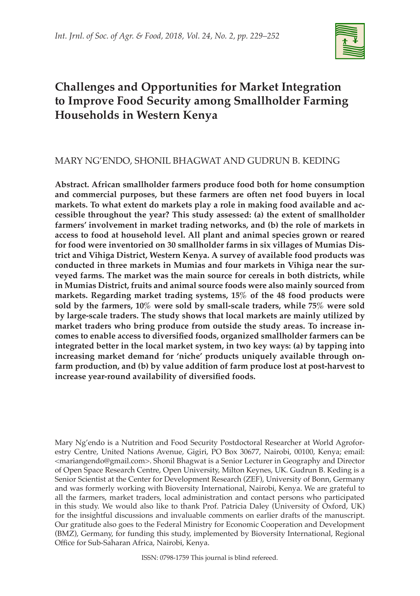

# **Challenges and Opportunities for Market Integration to Improve Food Security among Smallholder Farming Households in Western Kenya**

# MARY NG'ENDO, SHONIL BHAGWAT AND GUDRUN B. KEDING

**Abstract. African smallholder farmers produce food both for home consumption and commercial purposes, but these farmers are often net food buyers in local markets. To what extent do markets play a role in making food available and accessible throughout the year? This study assessed: (a) the extent of smallholder farmers' involvement in market trading networks, and (b) the role of markets in access to food at household level. All plant and animal species grown or reared for food were inventoried on 30 smallholder farms in six villages of Mumias District and Vihiga District, Western Kenya. A survey of available food products was conducted in three markets in Mumias and four markets in Vihiga near the surveyed farms. The market was the main source for cereals in both districts, while in Mumias District, fruits and animal source foods were also mainly sourced from markets. Regarding market trading systems, 15% of the 48 food products were sold by the farmers, 10% were sold by small-scale traders, while 75% were sold by large-scale traders. The study shows that local markets are mainly utilized by market traders who bring produce from outside the study areas. To increase incomes to enable access to diversified foods, organized smallholder farmers can be integrated better in the local market system, in two key ways: (a) by tapping into increasing market demand for 'niche' products uniquely available through onfarm production, and (b) by value addition of farm produce lost at post-harvest to increase year-round availability of diversified foods.**

Mary Ng'endo is a Nutrition and Food Security Postdoctoral Researcher at World Agroforestry Centre, United Nations Avenue, Gigiri, PO Box 30677, Nairobi, 00100, Kenya; email: <mariangendo@gmail.com>. Shonil Bhagwat is a Senior Lecturer in Geography and Director of Open Space Research Centre, Open University, Milton Keynes, UK. Gudrun B. Keding is a Senior Scientist at the Center for Development Research (ZEF), University of Bonn, Germany and was formerly working with Bioversity International, Nairobi, Kenya. We are grateful to all the farmers, market traders, local administration and contact persons who participated in this study. We would also like to thank Prof. Patricia Daley (University of Oxford, UK) for the insightful discussions and invaluable comments on earlier drafts of the manuscript. Our gratitude also goes to the Federal Ministry for Economic Cooperation and Development (BMZ), Germany, for funding this study, implemented by Bioversity International, Regional Office for Sub-Saharan Africa, Nairobi, Kenya.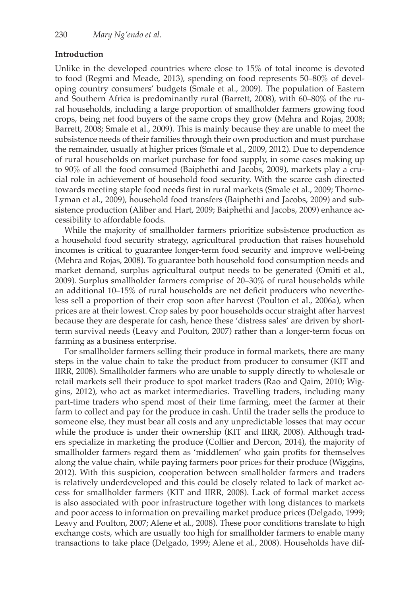### **Introduction**

Unlike in the developed countries where close to 15% of total income is devoted to food (Regmi and Meade, 2013), spending on food represents 50–80% of developing country consumers' budgets (Smale et al., 2009). The population of Eastern and Southern Africa is predominantly rural (Barrett, 2008), with 60–80% of the rural households, including a large proportion of smallholder farmers growing food crops, being net food buyers of the same crops they grow (Mehra and Rojas, 2008; Barrett, 2008; Smale et al., 2009). This is mainly because they are unable to meet the subsistence needs of their families through their own production and must purchase the remainder, usually at higher prices (Smale et al., 2009, 2012). Due to dependence of rural households on market purchase for food supply, in some cases making up to 90% of all the food consumed (Baiphethi and Jacobs, 2009), markets play a crucial role in achievement of household food security. With the scarce cash directed towards meeting staple food needs first in rural markets (Smale et al., 2009; Thorne-Lyman et al., 2009), household food transfers (Baiphethi and Jacobs, 2009) and subsistence production (Aliber and Hart, 2009; Baiphethi and Jacobs, 2009) enhance accessibility to affordable foods.

While the majority of smallholder farmers prioritize subsistence production as a household food security strategy, agricultural production that raises household incomes is critical to guarantee longer-term food security and improve well-being (Mehra and Rojas, 2008). To guarantee both household food consumption needs and market demand, surplus agricultural output needs to be generated (Omiti et al., 2009). Surplus smallholder farmers comprise of 20–30% of rural households while an additional 10–15% of rural households are net deficit producers who nevertheless sell a proportion of their crop soon after harvest (Poulton et al., 2006a), when prices are at their lowest. Crop sales by poor households occur straight after harvest because they are desperate for cash, hence these 'distress sales' are driven by shortterm survival needs (Leavy and Poulton, 2007) rather than a longer-term focus on farming as a business enterprise.

For smallholder farmers selling their produce in formal markets, there are many steps in the value chain to take the product from producer to consumer (KIT and IIRR, 2008). Smallholder farmers who are unable to supply directly to wholesale or retail markets sell their produce to spot market traders (Rao and Qaim, 2010; Wiggins, 2012), who act as market intermediaries. Travelling traders, including many part-time traders who spend most of their time farming, meet the farmer at their farm to collect and pay for the produce in cash. Until the trader sells the produce to someone else, they must bear all costs and any unpredictable losses that may occur while the produce is under their ownership (KIT and IIRR, 2008). Although traders specialize in marketing the produce (Collier and Dercon, 2014), the majority of smallholder farmers regard them as 'middlemen' who gain profits for themselves along the value chain, while paying farmers poor prices for their produce (Wiggins, 2012). With this suspicion, cooperation between smallholder farmers and traders is relatively underdeveloped and this could be closely related to lack of market access for smallholder farmers (KIT and IIRR, 2008). Lack of formal market access is also associated with poor infrastructure together with long distances to markets and poor access to information on prevailing market produce prices (Delgado, 1999; Leavy and Poulton, 2007; Alene et al., 2008). These poor conditions translate to high exchange costs, which are usually too high for smallholder farmers to enable many transactions to take place (Delgado, 1999; Alene et al., 2008). Households have dif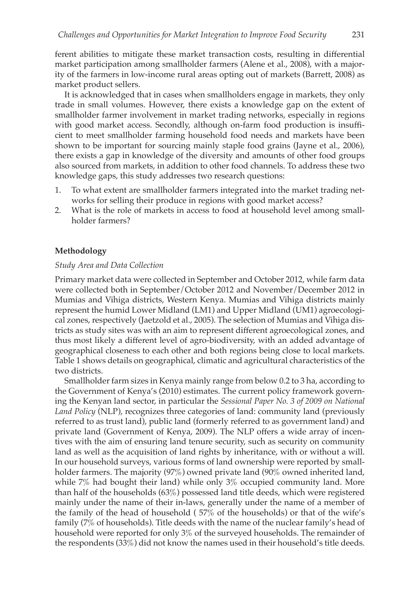ferent abilities to mitigate these market transaction costs, resulting in differential market participation among smallholder farmers (Alene et al., 2008), with a majority of the farmers in low-income rural areas opting out of markets (Barrett, 2008) as market product sellers.

It is acknowledged that in cases when smallholders engage in markets, they only trade in small volumes. However, there exists a knowledge gap on the extent of smallholder farmer involvement in market trading networks, especially in regions with good market access. Secondly, although on-farm food production is insufficient to meet smallholder farming household food needs and markets have been shown to be important for sourcing mainly staple food grains (Jayne et al., 2006), there exists a gap in knowledge of the diversity and amounts of other food groups also sourced from markets, in addition to other food channels. To address these two knowledge gaps, this study addresses two research questions:

- 1. To what extent are smallholder farmers integrated into the market trading networks for selling their produce in regions with good market access?
- 2. What is the role of markets in access to food at household level among smallholder farmers?

### **Methodology**

#### *Study Area and Data Collection*

Primary market data were collected in September and October 2012, while farm data were collected both in September/October 2012 and November/December 2012 in Mumias and Vihiga districts, Western Kenya. Mumias and Vihiga districts mainly represent the humid Lower Midland (LM1) and Upper Midland (UM1) agroecological zones, respectively (Jaetzold et al., 2005). The selection of Mumias and Vihiga districts as study sites was with an aim to represent different agroecological zones, and thus most likely a different level of agro-biodiversity, with an added advantage of geographical closeness to each other and both regions being close to local markets. Table 1 shows details on geographical, climatic and agricultural characteristics of the two districts.

Smallholder farm sizes in Kenya mainly range from below 0.2 to 3 ha, according to the Government of Kenya's (2010) estimates. The current policy framework governing the Kenyan land sector, in particular the *Sessional Paper No. 3 of 2009 on National Land Policy* (NLP), recognizes three categories of land: community land (previously referred to as trust land), public land (formerly referred to as government land) and private land (Government of Kenya, 2009). The NLP offers a wide array of incentives with the aim of ensuring land tenure security, such as security on community land as well as the acquisition of land rights by inheritance, with or without a will. In our household surveys, various forms of land ownership were reported by smallholder farmers. The majority (97%) owned private land (90% owned inherited land, while 7% had bought their land) while only 3% occupied community land. More than half of the households (63%) possessed land title deeds, which were registered mainly under the name of their in-laws, generally under the name of a member of the family of the head of household ( 57% of the households) or that of the wife's family (7% of households). Title deeds with the name of the nuclear family's head of household were reported for only 3% of the surveyed households. The remainder of the respondents (33%) did not know the names used in their household's title deeds.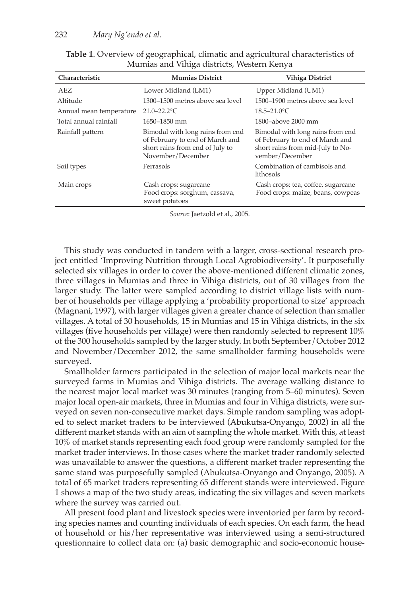| Characteristic          | <b>Mumias District</b>                                                                                                      | <b>Vihiga District</b>                                                                                                     |
|-------------------------|-----------------------------------------------------------------------------------------------------------------------------|----------------------------------------------------------------------------------------------------------------------------|
| AEZ                     | Lower Midland (LM1)                                                                                                         | Upper Midland (UM1)                                                                                                        |
| Altitude                | 1300–1500 metres above sea level                                                                                            | 1500–1900 metres above sea level                                                                                           |
| Annual mean temperature | $21.0 - 22.2$ °C                                                                                                            | $18.5 - 21.0$ °C                                                                                                           |
| Total annual rainfall   | 1650-1850 mm                                                                                                                | 1800-above 2000 mm                                                                                                         |
| Rainfall pattern        | Bimodal with long rains from end<br>of February to end of March and<br>short rains from end of July to<br>November/December | Bimodal with long rains from end<br>of February to end of March and<br>short rains from mid-July to No-<br>vember/December |
| Soil types              | Ferrasols                                                                                                                   | Combination of cambisols and<br>lithosols                                                                                  |
| Main crops              | Cash crops: sugarcane<br>Food crops: sorghum, cassava,<br>sweet potatoes                                                    | Cash crops: tea, coffee, sugarcane<br>Food crops: maize, beans, cowpeas                                                    |

**Table 1**. Overview of geographical, climatic and agricultural characteristics of Mumias and Vihiga districts, Western Kenya

*Source*: Jaetzold et al., 2005.

This study was conducted in tandem with a larger, cross-sectional research project entitled 'Improving Nutrition through Local Agrobiodiversity'. It purposefully selected six villages in order to cover the above-mentioned different climatic zones, three villages in Mumias and three in Vihiga districts, out of 30 villages from the larger study. The latter were sampled according to district village lists with number of households per village applying a 'probability proportional to size' approach (Magnani, 1997), with larger villages given a greater chance of selection than smaller villages. A total of 30 households, 15 in Mumias and 15 in Vihiga districts, in the six villages (five households per village) were then randomly selected to represent  $10\%$ of the 300 households sampled by the larger study. In both September/October 2012 and November/December 2012, the same smallholder farming households were surveyed.

Smallholder farmers participated in the selection of major local markets near the surveyed farms in Mumias and Vihiga districts. The average walking distance to the nearest major local market was 30 minutes (ranging from 5–60 minutes). Seven major local open-air markets, three in Mumias and four in Vihiga districts, were surveyed on seven non-consecutive market days. Simple random sampling was adopted to select market traders to be interviewed (Abukutsa-Onyango, 2002) in all the different market stands with an aim of sampling the whole market. With this, at least 10% of market stands representing each food group were randomly sampled for the market trader interviews. In those cases where the market trader randomly selected was unavailable to answer the questions, a different market trader representing the same stand was purposefully sampled (Abukutsa-Onyango and Onyango, 2005). A total of 65 market traders representing 65 different stands were interviewed. Figure 1 shows a map of the two study areas, indicating the six villages and seven markets where the survey was carried out.

All present food plant and livestock species were inventoried per farm by recording species names and counting individuals of each species. On each farm, the head of household or his/her representative was interviewed using a semi-structured questionnaire to collect data on: (a) basic demographic and socio-economic house-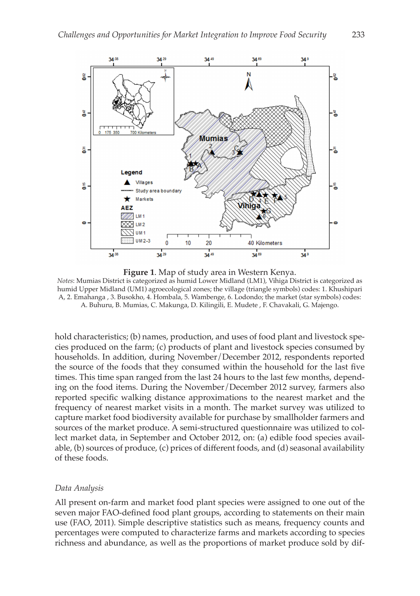

**Figure 1**. Map of study area in Western Kenya. *Notes*: Mumias District is categorized as humid Lower Midland (LM1), Vihiga District is categorized as humid Upper Midland (UM1) agroecological zones; the village (triangle symbols) codes: 1. Khushipari A, 2. Emahanga , 3. Busokho, 4. Hombala, 5. Wambenge, 6. Lodondo; the market (star symbols) codes: A. Buhuru, B. Mumias, C. Makunga, D. Kilingili, E. Mudete , F. Chavakali, G. Majengo.

hold characteristics; (b) names, production, and uses of food plant and livestock species produced on the farm; (c) products of plant and livestock species consumed by households. In addition, during November/December 2012, respondents reported the source of the foods that they consumed within the household for the last five times. This time span ranged from the last 24 hours to the last few months, depending on the food items. During the November/December 2012 survey, farmers also reported specific walking distance approximations to the nearest market and the frequency of nearest market visits in a month. The market survey was utilized to capture market food biodiversity available for purchase by smallholder farmers and sources of the market produce. A semi-structured questionnaire was utilized to collect market data, in September and October 2012, on: (a) edible food species available, (b) sources of produce, (c) prices of different foods, and (d) seasonal availability of these foods.

#### *Data Analysis*

All present on-farm and market food plant species were assigned to one out of the seven major FAO-defined food plant groups, according to statements on their main use (FAO, 2011). Simple descriptive statistics such as means, frequency counts and percentages were computed to characterize farms and markets according to species richness and abundance, as well as the proportions of market produce sold by dif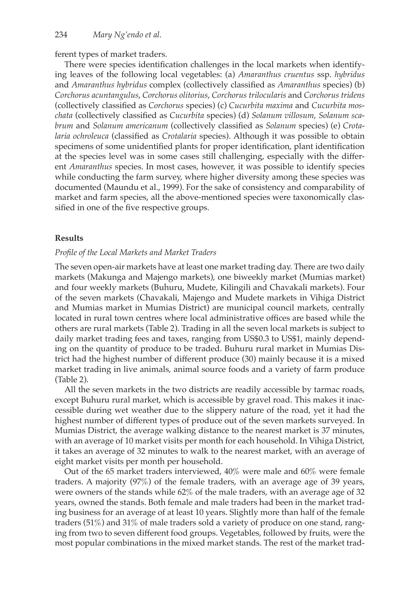ferent types of market traders.

There were species identification challenges in the local markets when identifying leaves of the following local vegetables: (a) *Amaranthus cruentus* ssp. *hybridus* and *Amaranthus hybridus* complex (collectively classified as *Amaranthus* species) (b) *Corchorus acuntangulus*, *Corchorus olitorius*, *Corchorus trilocularis* and *Corchorus tridens* (collectively classified as *Corchorus* species) (c) *Cucurbita maxima* and *Cucurbita moschata* (collectively classified as *Cucurbita* species) (d) *Solanum villosum*, *Solanum scabrum* and *Solanum americanum* (collectively classified as *Solanum* species) (e) *Crotalaria ochroleuca* (classified as *Crotalaria* species). Although it was possible to obtain specimens of some unidentified plants for proper identification, plant identification at the species level was in some cases still challenging, especially with the different *Amaranthus* species. In most cases, however, it was possible to identify species while conducting the farm survey, where higher diversity among these species was documented (Maundu et al., 1999). For the sake of consistency and comparability of market and farm species, all the above-mentioned species were taxonomically classified in one of the five respective groups.

### **Results**

#### *Profile of the Local Markets and Market Traders*

The seven open-air markets have at least one market trading day. There are two daily markets (Makunga and Majengo markets), one biweekly market (Mumias market) and four weekly markets (Buhuru, Mudete, Kilingili and Chavakali markets). Four of the seven markets (Chavakali, Majengo and Mudete markets in Vihiga District and Mumias market in Mumias District) are municipal council markets, centrally located in rural town centres where local administrative offices are based while the others are rural markets (Table 2). Trading in all the seven local markets is subject to daily market trading fees and taxes, ranging from US\$0.3 to US\$1, mainly depending on the quantity of produce to be traded. Buhuru rural market in Mumias District had the highest number of different produce (30) mainly because it is a mixed market trading in live animals, animal source foods and a variety of farm produce (Table 2).

All the seven markets in the two districts are readily accessible by tarmac roads, except Buhuru rural market, which is accessible by gravel road. This makes it inaccessible during wet weather due to the slippery nature of the road, yet it had the highest number of different types of produce out of the seven markets surveyed. In Mumias District, the average walking distance to the nearest market is 37 minutes, with an average of 10 market visits per month for each household. In Vihiga District, it takes an average of 32 minutes to walk to the nearest market, with an average of eight market visits per month per household.

Out of the 65 market traders interviewed, 40% were male and 60% were female traders. A majority (97%) of the female traders, with an average age of 39 years, were owners of the stands while 62% of the male traders, with an average age of 32 years, owned the stands. Both female and male traders had been in the market trading business for an average of at least 10 years. Slightly more than half of the female traders (51%) and 31% of male traders sold a variety of produce on one stand, ranging from two to seven different food groups. Vegetables, followed by fruits, were the most popular combinations in the mixed market stands. The rest of the market trad-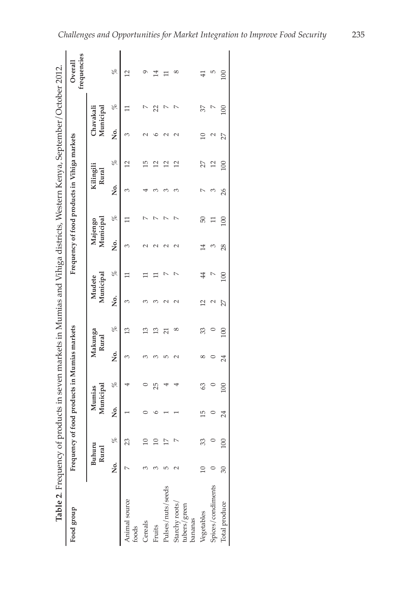| Table 2. Frequency of products in seven markets in Mumias and Vihiga districts, Western Kenya, September/October 2012. |        |                 |                                              |                     |        |                |                     |     |                                              |       |                    |                |                        |     |                        |
|------------------------------------------------------------------------------------------------------------------------|--------|-----------------|----------------------------------------------|---------------------|--------|----------------|---------------------|-----|----------------------------------------------|-------|--------------------|----------------|------------------------|-----|------------------------|
| Food group                                                                                                             |        |                 | Frequency of food products in Mumias markets |                     |        |                |                     |     | Frequency of food products in Vihiga markets |       |                    |                |                        |     | frequencies<br>Overall |
|                                                                                                                        |        | Buhuru<br>Rural |                                              | Municipal<br>Mumias | Rural  | Makunga        | Municipal<br>Mudete |     | Municipal<br>Majengo                         |       | Kilingili<br>Rural |                | Chavakali<br>Municipal |     |                        |
|                                                                                                                        | .<br>Ž | olo             | S.<br>Z                                      | ole                 | .<br>Ž | olo            | .<br>Ž              | olo | .<br>Ž                                       | of    | .<br>Ž             | olo            | .<br>Ž                 | olo | olo                    |
| Animal source<br>foods                                                                                                 |        | 23              |                                              |                     | ω      | Ω              | ω                   | Ξ   | 3                                            |       | 3                  | $\overline{c}$ | 3                      |     | 12                     |
| Cereals                                                                                                                |        |                 |                                              |                     | 3      | $\mathfrak{D}$ |                     |     |                                              |       |                    | 15             |                        |     | ᡋ                      |
| Fruits                                                                                                                 |        |                 |                                              | 25                  | ∞      | $\mathbf{r}$   | ∞                   | Ξ   |                                              |       | ∞                  | 12             | ∘                      | 22  | 14                     |
| Pulses/nuts/seeds                                                                                                      | ι٢     |                 |                                              |                     | ഥ      | ដ              | N                   | r   |                                              |       | ∞                  | 12             | N                      | ↖   | Ξ                      |
| Starchy roots<br>tubers/green<br>bananas                                                                               |        |                 |                                              |                     | N      | $\infty$       | N                   | Ļ   | N                                            | r     | 3                  | 12             | N                      | r   | ∞                      |
| Vegetables                                                                                                             |        | 33              | 15                                           | 63                  | 8      | 33             | $\mathbf{r}$        | 4   | 14                                           | 50    |                    | 27             | $\Xi$                  | 37  | $\overline{41}$        |
| Spices/condiments                                                                                                      |        |                 |                                              |                     |        |                | N                   | D   | ∞                                            | $\Xi$ | ∞                  | 12             | C                      | Ľ   | ю                      |
| Total produce                                                                                                          | 30     |                 | 24                                           | 100                 | 24     | 100            | 27                  | 100 | 28                                           | 100   | 26                 | 100            | 27                     | 100 | 100                    |
|                                                                                                                        |        |                 |                                              |                     |        |                |                     |     |                                              |       |                    |                |                        |     |                        |

*Challenges and Opportunities for Market Integration to Improve Food Security* 235  $\mathbf{r}$ l,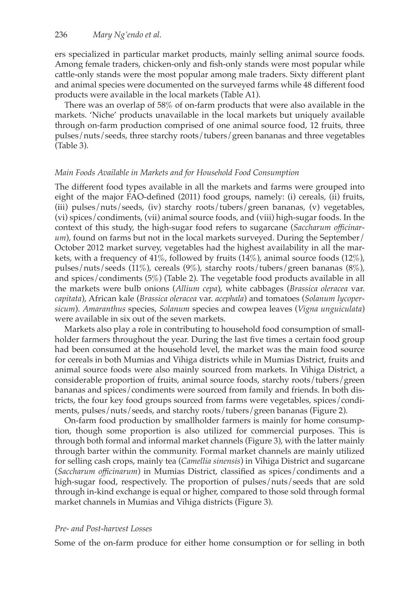ers specialized in particular market products, mainly selling animal source foods. Among female traders, chicken-only and fish-only stands were most popular while cattle-only stands were the most popular among male traders. Sixty different plant and animal species were documented on the surveyed farms while 48 different food products were available in the local markets (Table A1).

There was an overlap of 58% of on-farm products that were also available in the markets. 'Niche' products unavailable in the local markets but uniquely available through on-farm production comprised of one animal source food, 12 fruits, three pulses/nuts/seeds, three starchy roots/tubers/green bananas and three vegetables (Table 3).

### *Main Foods Available in Markets and for Household Food Consumption*

The different food types available in all the markets and farms were grouped into eight of the major FAO-defined (2011) food groups, namely: (i) cereals, (ii) fruits, (iii) pulses/nuts/seeds, (iv) starchy roots/tubers/green bananas, (v) vegetables, (vi) spices/condiments, (vii) animal source foods, and (viii) high-sugar foods. In the context of this study, the high-sugar food refers to sugarcane (*Saccharum officinarum*), found on farms but not in the local markets surveyed. During the September/ October 2012 market survey, vegetables had the highest availability in all the markets, with a frequency of  $41\%$ , followed by fruits  $(14\%)$ , animal source foods  $(12\%)$ , pulses/nuts/seeds (11%), cereals (9%), starchy roots/tubers/green bananas (8%), and spices/condiments (5%) (Table 2). The vegetable food products available in all the markets were bulb onions (*Allium cepa*), white cabbages (*Brassica oleracea* var. *capitata*), African kale (*Brassica oleracea* var. *acephala*) and tomatoes (*Solanum lycopersicum*). *Amaranthus* species, *Solanum* species and cowpea leaves (*Vigna unguiculata*) were available in six out of the seven markets.

Markets also play a role in contributing to household food consumption of smallholder farmers throughout the year. During the last five times a certain food group had been consumed at the household level, the market was the main food source for cereals in both Mumias and Vihiga districts while in Mumias District, fruits and animal source foods were also mainly sourced from markets. In Vihiga District, a considerable proportion of fruits, animal source foods, starchy roots/tubers/green bananas and spices/condiments were sourced from family and friends. In both districts, the four key food groups sourced from farms were vegetables, spices/condiments, pulses/nuts/seeds, and starchy roots/tubers/green bananas (Figure 2).

On-farm food production by smallholder farmers is mainly for home consumption, though some proportion is also utilized for commercial purposes. This is through both formal and informal market channels (Figure 3), with the latter mainly through barter within the community. Formal market channels are mainly utilized for selling cash crops, mainly tea (*Camellia sinensis*) in Vihiga District and sugarcane (*Saccharum officinarum*) in Mumias District, classified as spices/condiments and a high-sugar food, respectively. The proportion of pulses/nuts/seeds that are sold through in-kind exchange is equal or higher, compared to those sold through formal market channels in Mumias and Vihiga districts (Figure 3).

#### *Pre- and Post-harvest Losses*

Some of the on-farm produce for either home consumption or for selling in both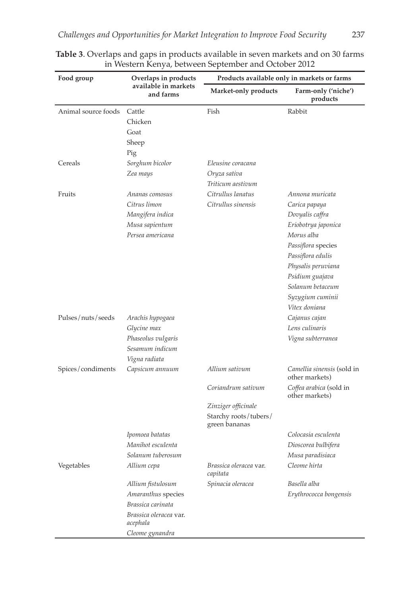| Food group          | - , - , - - - .<br>Overlaps in products                                                                               |                                                                                     | Products available only in markets or farms                                                                                                                                                                                           |
|---------------------|-----------------------------------------------------------------------------------------------------------------------|-------------------------------------------------------------------------------------|---------------------------------------------------------------------------------------------------------------------------------------------------------------------------------------------------------------------------------------|
|                     | available in markets<br>and farms                                                                                     | Market-only products                                                                | Farm-only ('niche')<br>products                                                                                                                                                                                                       |
| Animal source foods | Cattle<br>Chicken<br>Goat<br>Sheep<br>Pig                                                                             | Fish                                                                                | Rabbit                                                                                                                                                                                                                                |
| Cereals             | Sorghum bicolor<br>Zea mays                                                                                           | Eleusine coracana<br>Oryza sativa<br>Triticum aestivum                              |                                                                                                                                                                                                                                       |
| Fruits              | Ananas comosus<br>Citrus limon<br>Mangifera indica<br>Musa sapientum<br>Persea americana                              | Citrullus lanatus<br>Citrullus sinensis                                             | Annona muricata<br>Carica papaya<br>Dovyalis caffra<br>Eriobotrya japonica<br>Morus alba<br>Passiflora species<br>Passiflora edulis<br>Physalis peruviana<br>Psidium guajava<br>Solanum betaceum<br>Syzygium cuminii<br>Vitex doniana |
| Pulses/nuts/seeds   | Arachis hypogaea<br>Glycine max<br>Phaseolus vulgaris<br>Sesamum indicum<br>Vigna radiata                             |                                                                                     | Cajanus cajan<br>Lens culinaris<br>Vigna subterranea                                                                                                                                                                                  |
| Spices/condiments   | Capsicum annuum                                                                                                       | Allium sativum                                                                      | Camellia sinensis (sold in<br>other markets)                                                                                                                                                                                          |
|                     |                                                                                                                       | Coriandrum sativum<br>Zinziger officinale<br>Starchy roots/tubers/<br>green bananas | Coffea arabica (sold in<br>other markets)                                                                                                                                                                                             |
|                     | Ipomoea batatas<br>Manihot esculenta<br>Solanum tuberosum                                                             |                                                                                     | Colocasia esculenta<br>Dioscorea bulbifera<br>Musa paradisiaca                                                                                                                                                                        |
| Vegetables          | Allium cepa                                                                                                           | Brassica oleracea var.<br>capitata                                                  | Cleome hirta                                                                                                                                                                                                                          |
|                     | Allium fistulosum<br>Amaranthus species<br>Brassica carinata<br>Brassica oleracea var.<br>acephala<br>Cleome gynandra | Spinacia oleracea                                                                   | Basella alba<br>Erythrococca bongensis                                                                                                                                                                                                |

|  | Table 3. Overlaps and gaps in products available in seven markets and on 30 farms |  |
|--|-----------------------------------------------------------------------------------|--|
|  | in Western Kenya, between September and October 2012                              |  |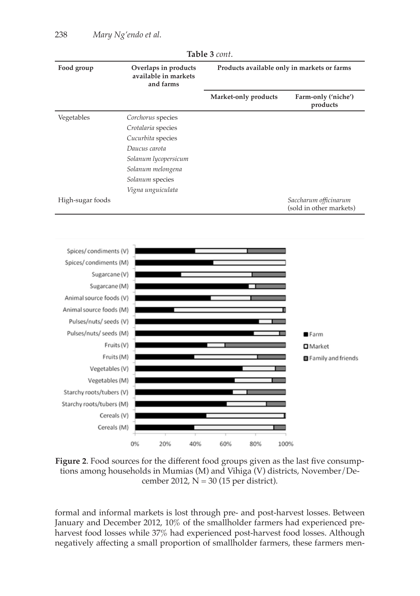|                                                                                                                                                                                                                                                            |                                                           | UIL U LUILLI         |                                                  |
|------------------------------------------------------------------------------------------------------------------------------------------------------------------------------------------------------------------------------------------------------------|-----------------------------------------------------------|----------------------|--------------------------------------------------|
| Food group                                                                                                                                                                                                                                                 | Overlaps in products<br>available in markets<br>and farms |                      | Products available only in markets or farms      |
|                                                                                                                                                                                                                                                            |                                                           | Market-only products | Farm-only ('niche')<br>products                  |
| Vegetables                                                                                                                                                                                                                                                 | Corchorus species                                         |                      |                                                  |
|                                                                                                                                                                                                                                                            | Crotalaria species                                        |                      |                                                  |
|                                                                                                                                                                                                                                                            | Cucurbita species                                         |                      |                                                  |
|                                                                                                                                                                                                                                                            | Daucus carota                                             |                      |                                                  |
|                                                                                                                                                                                                                                                            | Solanum lycopersicum                                      |                      |                                                  |
|                                                                                                                                                                                                                                                            | Solanum melongena                                         |                      |                                                  |
|                                                                                                                                                                                                                                                            | Solanum species                                           |                      |                                                  |
|                                                                                                                                                                                                                                                            | Vigna unguiculata                                         |                      |                                                  |
| High-sugar foods                                                                                                                                                                                                                                           |                                                           |                      | Saccharum officinarum<br>(sold in other markets) |
| Spices/condiments (V)<br>Spices/condiments (M)<br>Sugarcane (V)<br>Sugarcane (M)<br>Animal source foods (V)<br>Animal source foods (M)<br>Pulses/nuts/ seeds (V)<br>Pulses/nuts/ seeds (M)<br>Fruits (V)<br>Fruits (M)<br>Vegetables (V)<br>Vegetables (M) |                                                           |                      | Farm<br><b>□</b> Market<br>Family and friends    |
| Starchy roots/tubers (V)<br>Starchy roots/tubers (M)                                                                                                                                                                                                       |                                                           |                      |                                                  |
| Cereals (V)                                                                                                                                                                                                                                                |                                                           |                      |                                                  |
| Cereals (M)                                                                                                                                                                                                                                                |                                                           |                      |                                                  |
|                                                                                                                                                                                                                                                            | 0%<br>20%<br>40%                                          | 60%<br>80%           | 100%                                             |

**Table 3** *cont*.

**Figure 2**. Food sources for the different food groups given as the last five consumptions among households in Mumias (M) and Vihiga (V) districts, November/December 2012,  $N = 30$  (15 per district).

formal and informal markets is lost through pre- and post-harvest losses. Between January and December 2012, 10% of the smallholder farmers had experienced preharvest food losses while 37% had experienced post-harvest food losses. Although negatively affecting a small proportion of smallholder farmers, these farmers men-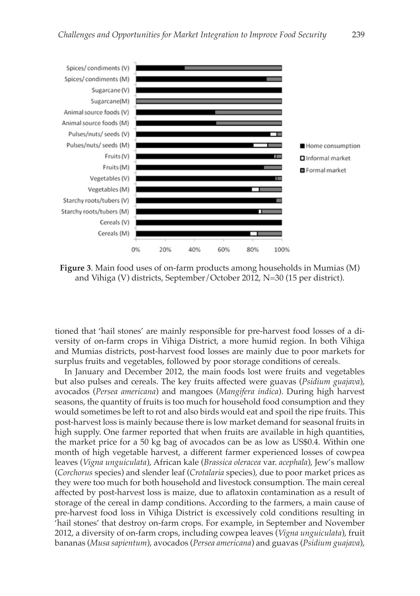

**Figure 3**. Main food uses of on-farm products among households in Mumias (M) and Vihiga (V) districts, September/October 2012, N=30 (15 per district).

tioned that 'hail stones' are mainly responsible for pre-harvest food losses of a diversity of on-farm crops in Vihiga District, a more humid region. In both Vihiga and Mumias districts, post-harvest food losses are mainly due to poor markets for surplus fruits and vegetables, followed by poor storage conditions of cereals.

In January and December 2012, the main foods lost were fruits and vegetables but also pulses and cereals. The key fruits affected were guavas (*Psidium guajava*), avocados (*Persea americana*) and mangoes (*Mangifera indica*). During high harvest seasons, the quantity of fruits is too much for household food consumption and they would sometimes be left to rot and also birds would eat and spoil the ripe fruits. This post-harvest loss is mainly because there is low market demand for seasonal fruits in high supply. One farmer reported that when fruits are available in high quantities, the market price for a 50 kg bag of avocados can be as low as US\$0.4. Within one month of high vegetable harvest, a different farmer experienced losses of cowpea leaves (*Vigna unguiculata*), African kale (*Brassica oleracea* var. *acephala*), Jew's mallow (*Corchorus* species) and slender leaf (*Crotalaria* species), due to poor market prices as they were too much for both household and livestock consumption. The main cereal affected by post-harvest loss is maize, due to aflatoxin contamination as a result of storage of the cereal in damp conditions. According to the farmers, a main cause of pre-harvest food loss in Vihiga District is excessively cold conditions resulting in 'hail stones' that destroy on-farm crops. For example, in September and November 2012, a diversity of on-farm crops, including cowpea leaves (*Vigna unguiculata*), fruit bananas (*Musa sapientum*), avocados (*Persea americana*) and guavas (*Psidium guajava*),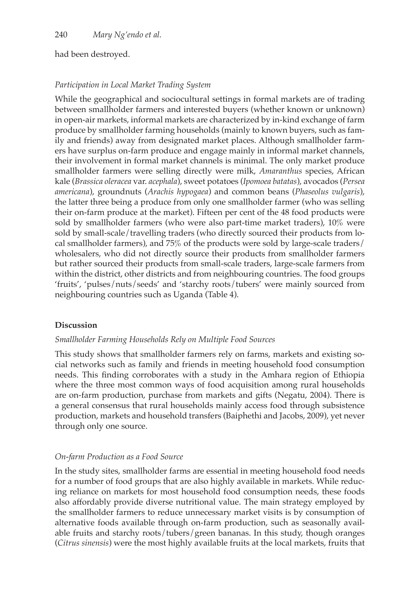### had been destroyed.

## *Participation in Local Market Trading System*

While the geographical and sociocultural settings in formal markets are of trading between smallholder farmers and interested buyers (whether known or unknown) in open-air markets, informal markets are characterized by in-kind exchange of farm produce by smallholder farming households (mainly to known buyers, such as family and friends) away from designated market places. Although smallholder farmers have surplus on-farm produce and engage mainly in informal market channels, their involvement in formal market channels is minimal. The only market produce smallholder farmers were selling directly were milk, *Amaranthus* species, African kale (*Brassica oleracea* var. *acephala*), sweet potatoes (*Ipomoea batatas*), avocados (*Persea americana*), groundnuts (*Arachis hypogaea*) and common beans (*Phaseolus vulgaris*), the latter three being a produce from only one smallholder farmer (who was selling their on-farm produce at the market). Fifteen per cent of the 48 food products were sold by smallholder farmers (who were also part-time market traders), 10% were sold by small-scale/travelling traders (who directly sourced their products from local smallholder farmers), and 75% of the products were sold by large-scale traders/ wholesalers, who did not directly source their products from smallholder farmers but rather sourced their products from small-scale traders, large-scale farmers from within the district, other districts and from neighbouring countries. The food groups 'fruits', 'pulses/nuts/seeds' and 'starchy roots/tubers' were mainly sourced from neighbouring countries such as Uganda (Table 4).

## **Discussion**

### *Smallholder Farming Households Rely on Multiple Food Sources*

This study shows that smallholder farmers rely on farms, markets and existing social networks such as family and friends in meeting household food consumption needs. This finding corroborates with a study in the Amhara region of Ethiopia where the three most common ways of food acquisition among rural households are on-farm production, purchase from markets and gifts (Negatu, 2004). There is a general consensus that rural households mainly access food through subsistence production, markets and household transfers (Baiphethi and Jacobs, 2009), yet never through only one source.

### *On-farm Production as a Food Source*

In the study sites, smallholder farms are essential in meeting household food needs for a number of food groups that are also highly available in markets. While reducing reliance on markets for most household food consumption needs, these foods also affordably provide diverse nutritional value. The main strategy employed by the smallholder farmers to reduce unnecessary market visits is by consumption of alternative foods available through on-farm production, such as seasonally available fruits and starchy roots/tubers/green bananas. In this study, though oranges (*Citrus sinensis*) were the most highly available fruits at the local markets, fruits that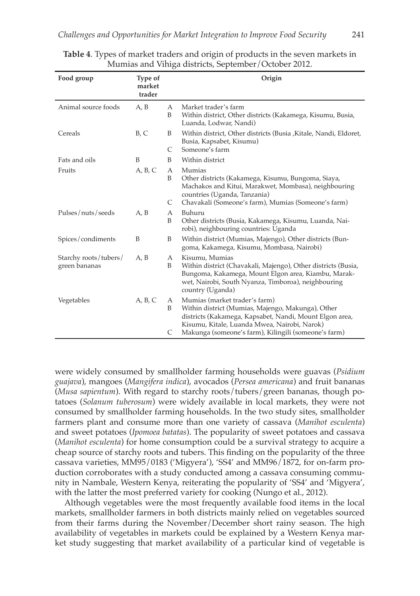| Food group                             | Type of<br>market<br>trader |                        | Origin                                                                                                                                                                                                                                                |
|----------------------------------------|-----------------------------|------------------------|-------------------------------------------------------------------------------------------------------------------------------------------------------------------------------------------------------------------------------------------------------|
| Animal source foods                    | A, B                        | A<br>B                 | Market trader's farm<br>Within district, Other districts (Kakamega, Kisumu, Busia,<br>Luanda, Lodwar, Nandi)                                                                                                                                          |
| Cereals                                | B, C                        | B<br>C                 | Within district, Other districts (Busia , Kitale, Nandi, Eldoret,<br>Busia, Kapsabet, Kisumu)<br>Someone's farm                                                                                                                                       |
| Fats and oils                          | B                           | B                      | Within district                                                                                                                                                                                                                                       |
| Fruits                                 | A, B, C                     | $\mathsf{A}$<br>B<br>C | Mumias<br>Other districts (Kakamega, Kisumu, Bungoma, Siaya,<br>Machakos and Kitui, Marakwet, Mombasa), neighbouring<br>countries (Uganda, Tanzania)<br>Chavakali (Someone's farm), Mumias (Someone's farm)                                           |
| Pulses/nuts/seeds                      | A, B                        | A<br>B                 | Buhuru<br>Other districts (Busia, Kakamega, Kisumu, Luanda, Nai-<br>robi), neighbouring countries: Uganda                                                                                                                                             |
| Spices/condiments                      | B                           | B                      | Within district (Mumias, Majengo), Other districts (Bun-<br>goma, Kakamega, Kisumu, Mombasa, Nairobi)                                                                                                                                                 |
| Starchy roots/tubers/<br>green bananas | A, B                        | A<br>B                 | Kisumu, Mumias<br>Within district (Chavakali, Majengo), Other districts (Busia,<br>Bungoma, Kakamega, Mount Elgon area, Kiambu, Marak-<br>wet, Nairobi, South Nyanza, Timboroa), neighbouring<br>country (Uganda)                                     |
| Vegetables                             | A, B, C                     | A<br>B<br>C            | Mumias (market trader's farm)<br>Within district (Mumias, Majengo, Makunga), Other<br>districts (Kakamega, Kapsabet, Nandi, Mount Elgon area,<br>Kisumu, Kitale, Luanda Mwea, Nairobi, Narok)<br>Makunga (someone's farm), Kilingili (someone's farm) |

#### **Table 4**. Types of market traders and origin of products in the seven markets in Mumias and Vihiga districts, September/October 2012.

were widely consumed by smallholder farming households were guavas (*Psidium guajava*), mangoes (*Mangifera indica*), avocados (*Persea americana*) and fruit bananas (*Musa sapientum*). With regard to starchy roots/tubers/green bananas, though potatoes (*Solanum tuberosum*) were widely available in local markets, they were not consumed by smallholder farming households. In the two study sites, smallholder farmers plant and consume more than one variety of cassava (*Manihot esculenta*) and sweet potatoes (*Ipomoea batatas*). The popularity of sweet potatoes and cassava (*Manihot esculenta*) for home consumption could be a survival strategy to acquire a cheap source of starchy roots and tubers. This finding on the popularity of the three cassava varieties, MM95/0183 ('Migyera'), 'SS4' and MM96/1872, for on-farm production corroborates with a study conducted among a cassava consuming community in Nambale, Western Kenya, reiterating the popularity of 'SS4' and 'Migyera', with the latter the most preferred variety for cooking (Nungo et al., 2012).

Although vegetables were the most frequently available food items in the local markets, smallholder farmers in both districts mainly relied on vegetables sourced from their farms during the November/December short rainy season. The high availability of vegetables in markets could be explained by a Western Kenya market study suggesting that market availability of a particular kind of vegetable is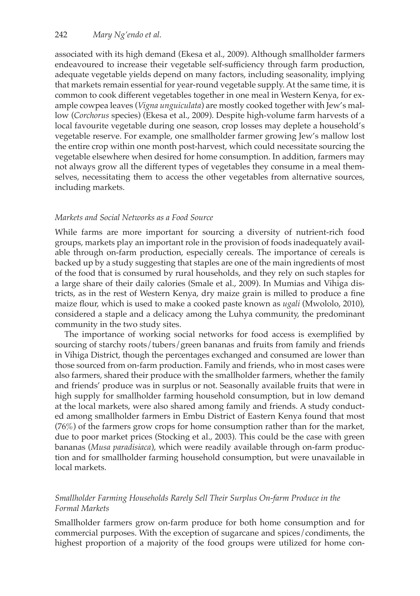associated with its high demand (Ekesa et al., 2009). Although smallholder farmers endeavoured to increase their vegetable self-sufficiency through farm production, adequate vegetable yields depend on many factors, including seasonality, implying that markets remain essential for year-round vegetable supply. At the same time, it is common to cook different vegetables together in one meal in Western Kenya, for example cowpea leaves (*Vigna unguiculata*) are mostly cooked together with Jew's mallow (*Corchorus* species) (Ekesa et al., 2009). Despite high-volume farm harvests of a local favourite vegetable during one season, crop losses may deplete a household's vegetable reserve. For example, one smallholder farmer growing Jew's mallow lost the entire crop within one month post-harvest, which could necessitate sourcing the vegetable elsewhere when desired for home consumption. In addition, farmers may not always grow all the different types of vegetables they consume in a meal themselves, necessitating them to access the other vegetables from alternative sources, including markets.

### *Markets and Social Networks as a Food Source*

While farms are more important for sourcing a diversity of nutrient-rich food groups, markets play an important role in the provision of foods inadequately available through on-farm production, especially cereals. The importance of cereals is backed up by a study suggesting that staples are one of the main ingredients of most of the food that is consumed by rural households, and they rely on such staples for a large share of their daily calories (Smale et al., 2009). In Mumias and Vihiga districts, as in the rest of Western Kenya, dry maize grain is milled to produce a fine maize flour, which is used to make a cooked paste known as *ugali* (Mwololo, 2010), considered a staple and a delicacy among the Luhya community, the predominant community in the two study sites.

The importance of working social networks for food access is exemplified by sourcing of starchy roots/tubers/green bananas and fruits from family and friends in Vihiga District, though the percentages exchanged and consumed are lower than those sourced from on-farm production. Family and friends, who in most cases were also farmers, shared their produce with the smallholder farmers, whether the family and friends' produce was in surplus or not. Seasonally available fruits that were in high supply for smallholder farming household consumption, but in low demand at the local markets, were also shared among family and friends. A study conducted among smallholder farmers in Embu District of Eastern Kenya found that most (76%) of the farmers grow crops for home consumption rather than for the market, due to poor market prices (Stocking et al., 2003). This could be the case with green bananas (*Musa paradisiaca*), which were readily available through on-farm production and for smallholder farming household consumption, but were unavailable in local markets.

### *Smallholder Farming Households Rarely Sell Their Surplus On-farm Produce in the Formal Markets*

Smallholder farmers grow on-farm produce for both home consumption and for commercial purposes. With the exception of sugarcane and spices/condiments, the highest proportion of a majority of the food groups were utilized for home con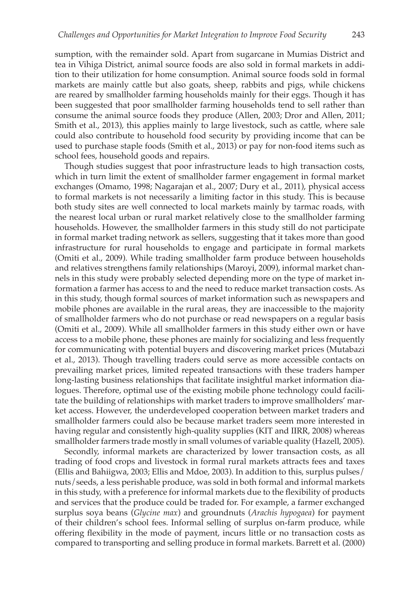sumption, with the remainder sold. Apart from sugarcane in Mumias District and tea in Vihiga District, animal source foods are also sold in formal markets in addition to their utilization for home consumption. Animal source foods sold in formal markets are mainly cattle but also goats, sheep, rabbits and pigs, while chickens are reared by smallholder farming households mainly for their eggs. Though it has been suggested that poor smallholder farming households tend to sell rather than consume the animal source foods they produce (Allen, 2003; Dror and Allen, 2011; Smith et al., 2013), this applies mainly to large livestock, such as cattle, where sale could also contribute to household food security by providing income that can be used to purchase staple foods (Smith et al., 2013) or pay for non-food items such as school fees, household goods and repairs.

Though studies suggest that poor infrastructure leads to high transaction costs, which in turn limit the extent of smallholder farmer engagement in formal market exchanges (Omamo, 1998; Nagarajan et al., 2007; Dury et al., 2011), physical access to formal markets is not necessarily a limiting factor in this study. This is because both study sites are well connected to local markets mainly by tarmac roads, with the nearest local urban or rural market relatively close to the smallholder farming households. However, the smallholder farmers in this study still do not participate in formal market trading network as sellers, suggesting that it takes more than good infrastructure for rural households to engage and participate in formal markets (Omiti et al., 2009). While trading smallholder farm produce between households and relatives strengthens family relationships (Maroyi, 2009), informal market channels in this study were probably selected depending more on the type of market information a farmer has access to and the need to reduce market transaction costs. As in this study, though formal sources of market information such as newspapers and mobile phones are available in the rural areas, they are inaccessible to the majority of smallholder farmers who do not purchase or read newspapers on a regular basis (Omiti et al., 2009). While all smallholder farmers in this study either own or have access to a mobile phone, these phones are mainly for socializing and less frequently for communicating with potential buyers and discovering market prices (Mutabazi et al., 2013). Though travelling traders could serve as more accessible contacts on prevailing market prices, limited repeated transactions with these traders hamper long-lasting business relationships that facilitate insightful market information dialogues. Therefore, optimal use of the existing mobile phone technology could facilitate the building of relationships with market traders to improve smallholders' market access. However, the underdeveloped cooperation between market traders and smallholder farmers could also be because market traders seem more interested in having regular and consistently high-quality supplies (KIT and IIRR, 2008) whereas smallholder farmers trade mostly in small volumes of variable quality (Hazell, 2005).

Secondly, informal markets are characterized by lower transaction costs, as all trading of food crops and livestock in formal rural markets attracts fees and taxes (Ellis and Bahiigwa, 2003; Ellis and Mdoe, 2003). In addition to this, surplus pulses/ nuts/seeds, a less perishable produce, was sold in both formal and informal markets in this study, with a preference for informal markets due to the flexibility of products and services that the produce could be traded for. For example, a farmer exchanged surplus soya beans (*Glycine max*) and groundnuts (*Arachis hypogaea*) for payment of their children's school fees. Informal selling of surplus on-farm produce, while offering flexibility in the mode of payment, incurs little or no transaction costs as compared to transporting and selling produce in formal markets. Barrett et al. (2000)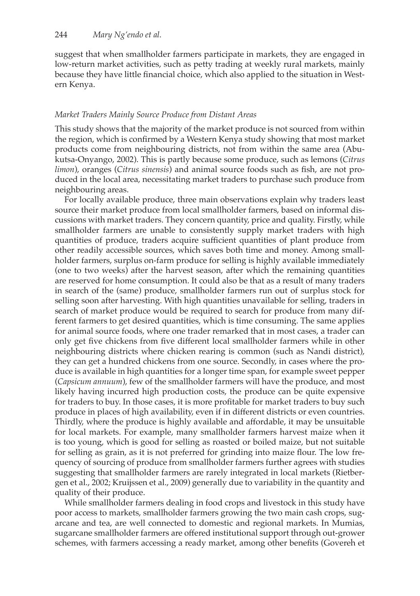suggest that when smallholder farmers participate in markets, they are engaged in low-return market activities, such as petty trading at weekly rural markets, mainly because they have little financial choice, which also applied to the situation in Western Kenya.

### *Market Traders Mainly Source Produce from Distant Areas*

This study shows that the majority of the market produce is not sourced from within the region, which is confirmed by a Western Kenya study showing that most market products come from neighbouring districts, not from within the same area (Abukutsa-Onyango, 2002). This is partly because some produce, such as lemons (*Citrus limon*), oranges (*Citrus sinensis*) and animal source foods such as fish, are not produced in the local area, necessitating market traders to purchase such produce from neighbouring areas.

For locally available produce, three main observations explain why traders least source their market produce from local smallholder farmers, based on informal discussions with market traders. They concern quantity, price and quality. Firstly, while smallholder farmers are unable to consistently supply market traders with high quantities of produce, traders acquire sufficient quantities of plant produce from other readily accessible sources, which saves both time and money. Among smallholder farmers, surplus on-farm produce for selling is highly available immediately (one to two weeks) after the harvest season, after which the remaining quantities are reserved for home consumption. It could also be that as a result of many traders in search of the (same) produce, smallholder farmers run out of surplus stock for selling soon after harvesting. With high quantities unavailable for selling, traders in search of market produce would be required to search for produce from many different farmers to get desired quantities, which is time consuming. The same applies for animal source foods, where one trader remarked that in most cases, a trader can only get five chickens from five different local smallholder farmers while in other neighbouring districts where chicken rearing is common (such as Nandi district), they can get a hundred chickens from one source. Secondly, in cases where the produce is available in high quantities for a longer time span, for example sweet pepper (*Capsicum annuum*), few of the smallholder farmers will have the produce, and most likely having incurred high production costs, the produce can be quite expensive for traders to buy. In those cases, it is more profitable for market traders to buy such produce in places of high availability, even if in different districts or even countries. Thirdly, where the produce is highly available and affordable, it may be unsuitable for local markets. For example, many smallholder farmers harvest maize when it is too young, which is good for selling as roasted or boiled maize, but not suitable for selling as grain, as it is not preferred for grinding into maize flour. The low frequency of sourcing of produce from smallholder farmers further agrees with studies suggesting that smallholder farmers are rarely integrated in local markets (Rietbergen et al., 2002; Kruijssen et al., 2009) generally due to variability in the quantity and quality of their produce.

While smallholder farmers dealing in food crops and livestock in this study have poor access to markets, smallholder farmers growing the two main cash crops, sugarcane and tea, are well connected to domestic and regional markets. In Mumias, sugarcane smallholder farmers are offered institutional support through out-grower schemes, with farmers accessing a ready market, among other benefits (Govereh et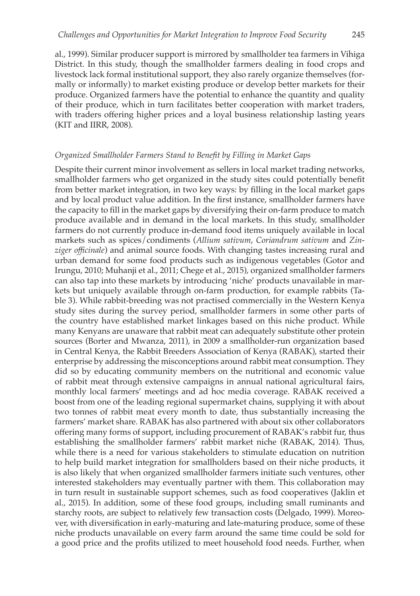al., 1999). Similar producer support is mirrored by smallholder tea farmers in Vihiga District. In this study, though the smallholder farmers dealing in food crops and livestock lack formal institutional support, they also rarely organize themselves (formally or informally) to market existing produce or develop better markets for their produce. Organized farmers have the potential to enhance the quantity and quality of their produce, which in turn facilitates better cooperation with market traders, with traders offering higher prices and a loyal business relationship lasting years (KIT and IIRR, 2008).

#### *Organized Smallholder Farmers Stand to Benefit by Filling in Market Gaps*

Despite their current minor involvement as sellers in local market trading networks, smallholder farmers who get organized in the study sites could potentially benefit from better market integration, in two key ways: by filling in the local market gaps and by local product value addition. In the first instance, smallholder farmers have the capacity to fill in the market gaps by diversifying their on-farm produce to match produce available and in demand in the local markets. In this study, smallholder farmers do not currently produce in-demand food items uniquely available in local markets such as spices/condiments (*Allium sativum*, *Coriandrum sativum* and *Zinziger officinale*) and animal source foods. With changing tastes increasing rural and urban demand for some food products such as indigenous vegetables (Gotor and Irungu, 2010; Muhanji et al., 2011; Chege et al., 2015), organized smallholder farmers can also tap into these markets by introducing 'niche' products unavailable in markets but uniquely available through on-farm production, for example rabbits (Table 3). While rabbit-breeding was not practised commercially in the Western Kenya study sites during the survey period, smallholder farmers in some other parts of the country have established market linkages based on this niche product. While many Kenyans are unaware that rabbit meat can adequately substitute other protein sources (Borter and Mwanza, 2011), in 2009 a smallholder-run organization based in Central Kenya, the Rabbit Breeders Association of Kenya (RABAK), started their enterprise by addressing the misconceptions around rabbit meat consumption. They did so by educating community members on the nutritional and economic value of rabbit meat through extensive campaigns in annual national agricultural fairs, monthly local farmers' meetings and ad hoc media coverage. RABAK received a boost from one of the leading regional supermarket chains, supplying it with about two tonnes of rabbit meat every month to date, thus substantially increasing the farmers' market share. RABAK has also partnered with about six other collaborators offering many forms of support, including procurement of RABAK's rabbit fur, thus establishing the smallholder farmers' rabbit market niche (RABAK, 2014). Thus, while there is a need for various stakeholders to stimulate education on nutrition to help build market integration for smallholders based on their niche products, it is also likely that when organized smallholder farmers initiate such ventures, other interested stakeholders may eventually partner with them. This collaboration may in turn result in sustainable support schemes, such as food cooperatives (Jaklin et al., 2015). In addition, some of these food groups, including small ruminants and starchy roots, are subject to relatively few transaction costs (Delgado, 1999). Moreover, with diversification in early-maturing and late-maturing produce, some of these niche products unavailable on every farm around the same time could be sold for a good price and the profits utilized to meet household food needs. Further, when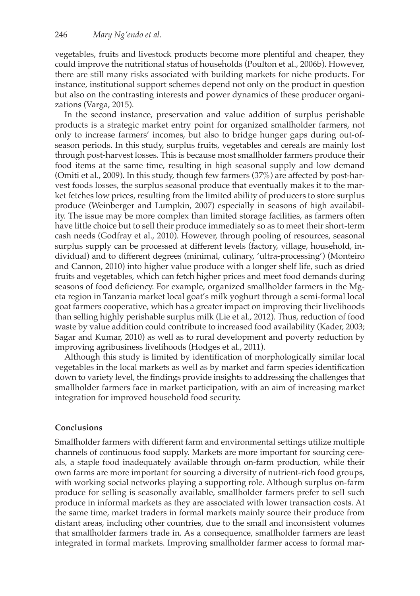vegetables, fruits and livestock products become more plentiful and cheaper, they could improve the nutritional status of households (Poulton et al., 2006b). However, there are still many risks associated with building markets for niche products. For instance, institutional support schemes depend not only on the product in question but also on the contrasting interests and power dynamics of these producer organizations (Varga, 2015).

In the second instance, preservation and value addition of surplus perishable products is a strategic market entry point for organized smallholder farmers, not only to increase farmers' incomes, but also to bridge hunger gaps during out-ofseason periods. In this study, surplus fruits, vegetables and cereals are mainly lost through post-harvest losses. This is because most smallholder farmers produce their food items at the same time, resulting in high seasonal supply and low demand (Omiti et al., 2009). In this study, though few farmers (37%) are affected by post-harvest foods losses, the surplus seasonal produce that eventually makes it to the market fetches low prices, resulting from the limited ability of producers to store surplus produce (Weinberger and Lumpkin, 2007) especially in seasons of high availability. The issue may be more complex than limited storage facilities, as farmers often have little choice but to sell their produce immediately so as to meet their short-term cash needs (Godfray et al., 2010). However, through pooling of resources, seasonal surplus supply can be processed at different levels (factory, village, household, individual) and to different degrees (minimal, culinary, 'ultra-processing') (Monteiro and Cannon, 2010) into higher value produce with a longer shelf life, such as dried fruits and vegetables, which can fetch higher prices and meet food demands during seasons of food deficiency. For example, organized smallholder farmers in the Mgeta region in Tanzania market local goat's milk yoghurt through a semi-formal local goat farmers cooperative, which has a greater impact on improving their livelihoods than selling highly perishable surplus milk (Lie et al., 2012). Thus, reduction of food waste by value addition could contribute to increased food availability (Kader, 2003; Sagar and Kumar, 2010) as well as to rural development and poverty reduction by improving agribusiness livelihoods (Hodges et al., 2011).

Although this study is limited by identification of morphologically similar local vegetables in the local markets as well as by market and farm species identification down to variety level, the findings provide insights to addressing the challenges that smallholder farmers face in market participation, with an aim of increasing market integration for improved household food security.

### **Conclusions**

Smallholder farmers with different farm and environmental settings utilize multiple channels of continuous food supply. Markets are more important for sourcing cereals, a staple food inadequately available through on-farm production, while their own farms are more important for sourcing a diversity of nutrient-rich food groups, with working social networks playing a supporting role. Although surplus on-farm produce for selling is seasonally available, smallholder farmers prefer to sell such produce in informal markets as they are associated with lower transaction costs. At the same time, market traders in formal markets mainly source their produce from distant areas, including other countries, due to the small and inconsistent volumes that smallholder farmers trade in. As a consequence, smallholder farmers are least integrated in formal markets. Improving smallholder farmer access to formal mar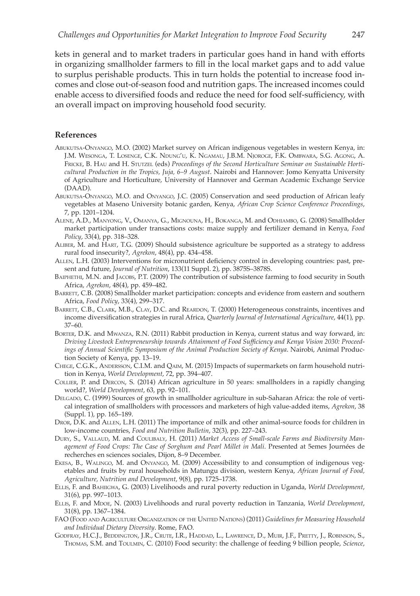kets in general and to market traders in particular goes hand in hand with efforts in organizing smallholder farmers to fill in the local market gaps and to add value to surplus perishable products. This in turn holds the potential to increase food incomes and close out-of-season food and nutrition gaps. The increased incomes could enable access to diversified foods and reduce the need for food self-sufficiency, with an overall impact on improving household food security.

#### **References**

- Abukutsa-Onyango, M.O. (2002) Market survey on African indigenous vegetables in western Kenya, in: J.M. Wesonga, T. Losenge, C.K. Ndung'u, K. Ngamau, J.B.M. Njoroge, F.K. Ombwara, S.G. Agong, A. FRICKE, B. HAU and H. STUTZEL (eds) Proceedings of the Second Horticulture Seminar on Sustainable Horti*cultural Production in the Tropics, Juja, 6–9 August*. Nairobi and Hannover: Jomo Kenyatta University of Agriculture and Horticulture, University of Hannover and German Academic Exchange Service (DAAD).
- Abukutsa-Onyango, M.O. and Onyango, J.C. (2005) Conservation and seed production of African leafy vegetables at Maseno University botanic garden, Kenya, *African Crop Science Conference Proceedings*, 7, pp. 1201–1204.
- Alene, A.D., Manyong, V., Omanya, G., Mignouna, H., Bokanga, M. and Odhiambo, G. (2008) Smallholder market participation under transactions costs: maize supply and fertilizer demand in Kenya, *Food Policy*, 33(4), pp. 318–328.
- Aliber, M. and Hart, T.G. (2009) Should subsistence agriculture be supported as a strategy to address rural food insecurity?, *Agrekon*, 48(4), pp. 434–458.
- Allen, L.H. (2003) Interventions for micronutrient deficiency control in developing countries: past, present and future, *Journal of Nutrition*, 133(11 Suppl. 2), pp. 3875S–3878S.
- BAIPHETHI, M.N. and JACOBS, P.T. (2009) The contribution of subsistence farming to food security in South Africa, *Agrekon*, 48(4), pp. 459–482.
- BARRETT, C.B. (2008) Smallholder market participation: concepts and evidence from eastern and southern Africa, *Food Policy*, 33(4), 299–317.
- Barrett, C.B., Clark, M.B., Clay, D.C. and Reardon, T. (2000) Heterogeneous constraints, incentives and income diversification strategies in rural Africa, *Quarterly Journal of International Agriculture*, 44(1), pp. 37–60.
- BORTER, D.K. and MWANZA, R.N. (2011) Rabbit production in Kenya, current status and way forward, in: *Driving Livestock Entrepreneurship towards Attainment of Food Sufficiency and Kenya Vision 2030: Proceedings of Annual Scientific Symposium of the Animal Production Society of Kenya*. Nairobi, Animal Production Society of Kenya, pp. 13–19.
- Chege, C.G.K., Andersson, C.I.M. and Qaim, M. (2015) Impacts of supermarkets on farm household nutrition in Kenya, *World Development*, 72, pp. 394–407.
- Collier, P. and Dercon, S. (2014) African agriculture in 50 years: smallholders in a rapidly changing world?, *World Development*, 63, pp. 92–101.
- Delgado, C. (1999) Sources of growth in smallholder agriculture in sub-Saharan Africa: the role of vertical integration of smallholders with processors and marketers of high value-added items, *Agrekon*, 38 (Suppl. 1), pp. 165–189.
- Dror, D.K. and Allen, L.H. (2011) The importance of milk and other animal-source foods for children in low-income countries, *Food and Nutrition Bulletin*, 32(3), pp. 227–243.
- Dury, S., Vallaud, M. and Coulibaly, H. (2011) *Market Access of Small-scale Farms and Biodiversity Management of Food Crops: The Case of Sorghum and Pearl Millet in Mali*. Presented at 5emes Journées de recherches en sciences sociales, Dijon, 8–9 December.
- Ekesa, B., Walingo, M. and Onyango, M. (2009) Accessibility to and consumption of indigenous vegetables and fruits by rural households in Matungu division, western Kenya, *African Journal of Food, Agriculture, Nutrition and Development*, 9(8), pp. 1725–1738.
- Ellis, F. and Bahiigwa, G. (2003) Livelihoods and rural poverty reduction in Uganda, *World Development*, 31(6), pp. 997–1013.
- Ellis, F. and Mdoe, N. (2003) Livelihoods and rural poverty reduction in Tanzania, *World Development*, 31(8), pp. 1367–1384.
- FAO (Food and Agriculture Organization of the United Nations) (2011) *Guidelines for Measuring Household and Individual Dietary Diversity*. Rome, FAO.
- Godfray, H.C.J., Beddington, J.R., Crute, I.R., Haddad, L., Lawrence, D., Muir, J.F., Pretty, J., Robinson, S., Thomas, S.M. and Toulmin, C. (2010) Food security: the challenge of feeding 9 billion people, *Science*,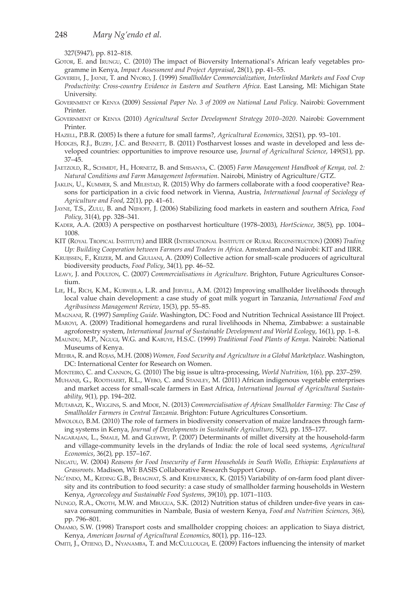327(5947), pp. 812–818.

- Gotor, E. and Irungu, C. (2010) The impact of Bioversity International's African leafy vegetables programme in Kenya, *Impact Assessment and Project Appraisal*, 28(1), pp. 41–55.
- Govereh, J., Jayne, T. and Nyoro, J. (1999) *Smallholder Commercialization, Interlinked Markets and Food Crop Productivity: Cross-country Evidence in Eastern and Southern Africa*. East Lansing, MI: Michigan State University.
- Government of Kenya (2009) *Sessional Paper No. 3 of 2009 on National Land Policy*. Nairobi: Government Printer.
- Government of Kenya (2010) *Agricultural Sector Development Strategy 2010–2020*. Nairobi: Government Printer.
- Hazell, P.B.R. (2005) Is there a future for small farms?, *Agricultural Economics*, 32(S1), pp. 93–101.
- HODGES, R.J., BUZBY, J.C. and BENNETT, B. (2011) Postharvest losses and waste in developed and less developed countries: opportunities to improve resource use, *Journal of Agricultural Science*, 149(S1), pp. 37–45.
- Jaetzold, R., Schmidt, H., Hornetz, B. and Shisanya, C. (2005) *Farm Management Handbook of Kenya, vol. 2: Natural Conditions and Farm Management Information*. Nairobi, Ministry of Agriculture/GTZ.
- Jaklin, U., Kummer, S. and Milestad, R. (2015) Why do farmers collaborate with a food cooperative? Reasons for participation in a civic food network in Vienna, Austria, *International Journal of Sociology of Agriculture and Food*, 22(1), pp. 41–61.
- Jayne, T.S., Zulu, B. and Nijhoff, J. (2006) Stabilizing food markets in eastern and southern Africa, *Food Policy*, 31(4), pp. 328–341.
- Kader, A.A. (2003) A perspective on postharvest horticulture (1978–2003), *HortScience*, 38(5), pp. 1004– 1008.
- KIT (Royal Tropical Institute) and IIRR (International Institute of Rural Reconstruction) (2008) *Trading Up: Building Cooperation between Farmers and Traders in Africa*. Amsterdam and Nairobi: KIT and IIRR.
- Kruijssen, F., Keizer, M. and Giuliani, A. (2009) Collective action for small-scale producers of agricultural biodiversity products, *Food Policy*, 34(1), pp. 46–52.
- Leavy, J. and Poulton, C. (2007) *Commercialisations in Agriculture*. Brighton, Future Agricultures Consortium.
- Lie, H., Rich, K.M., Kurwijila, L.R. and Jervell, A.M. (2012) Improving smallholder livelihoods through local value chain development: a case study of goat milk yogurt in Tanzania, *International Food and Agribusiness Management Review*, 15(3), pp. 55–85.
- Magnani, R. (1997) *Sampling Guide*. Washington, DC: Food and Nutrition Technical Assistance III Project.
- Maroyi, A. (2009) Traditional homegardens and rural livelihoods in Nhema, Zimbabwe: a sustainable agroforestry system, *International Journal of Sustainable Development and World Ecology*, 16(1), pp. 1–8.
- Maundu, M.P., Ngugi, W.G. and Kabuye, H.S.C. (1999) *Traditional Food Plants of Kenya*. Nairobi: National Museums of Kenya.
- Mehra, R. and Rojas, M.H. (2008) *Women, Food Security and Agriculture in a Global Marketplace*. Washington, DC: International Center for Research on Women.
- Monteiro, C. and Cannon, G. (2010) The big issue is ultra-processing, *World Nutrition*, 1(6), pp. 237–259.
- Muhanji, G., Roothaert, R.L., Webo, C. and Stanley, M. (2011) African indigenous vegetable enterprises and market access for small-scale farmers in East Africa, *International Journal of Agricultural Sustainability*, 9(1), pp. 194–202.
- MUTABAZI, K., WIGGINS, S. and MDOE, N. (2013) *Commercialisation of African Smallholder Farming: The Case of Smallholder Farmers in Central Tanzania*. Brighton: Future Agricultures Consortium.
- Mwololo, B.M. (2010) The role of farmers in biodiversity conservation of maize landraces through farming systems in Kenya, *Journal of Developments in Sustainable Agriculture*, 5(2), pp. 155–177.
- Nagarajan, L., Smale, M. and Glewwe, P. (2007) Determinants of millet diversity at the household-farm and village-community levels in the drylands of India: the role of local seed systems, *Agricultural Economics*, 36(2), pp. 157–167.
- Negatu, W. (2004) *Reasons for Food Insecurity of Farm Households in South Wollo, Ethiopia: Explanations at Grassroots*. Madison, WI: BASIS Collaborative Research Support Group.
- NG'ENDO, M., KEDING G.B., BHAGWAT, S. and KEHLENBECK, K. (2015) Variability of on-farm food plant diversity and its contribution to food security: a case study of smallholder farming households in Western Kenya, *Agroecology and Sustainable Food Systems*, 39(10), pp. 1071–1103.
- Nungo, R.A., Okoth, M.W. and Mbugua, S.K. (2012) Nutrition status of children under-five years in cassava consuming communities in Nambale, Busia of western Kenya, *Food and Nutrition Sciences*, 3(6), pp. 796–801.
- Omamo, S.W. (1998) Transport costs and smallholder cropping choices: an application to Siaya district, Kenya, *American Journal of Agricultural Economics*, 80(1), pp. 116–123.
- Omiti, J., Otieno, D., Nyanamba, T. and McCullough, E. (2009) Factors influencing the intensity of market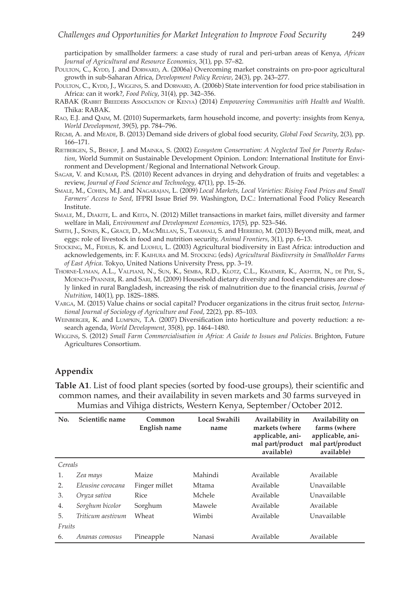participation by smallholder farmers: a case study of rural and peri-urban areas of Kenya, *African Journal of Agricultural and Resource Economics*, 3(1), pp. 57–82.

- POULTON, C., KYDD, J. and DORWARD, A. (2006a) Overcoming market constraints on pro-poor agricultural growth in sub-Saharan Africa, *Development Policy Review*, 24(3), pp. 243–277.
- POULTON, C., KYDD, J., WIGGINS, S. and DORWARD, A. (2006b) State intervention for food price stabilisation in Africa: can it work?, *Food Policy*, 31(4), pp. 342–356.
- RABAK (Rabbit Breeders Association of Kenya) (2014) *Empowering Communities with Health and Wealth*. Thika: RABAK.
- Rao, E.J. and Qaim, M. (2010) Supermarkets, farm household income, and poverty: insights from Kenya, *World Development*, 39(5), pp. 784–796.
- Regmi, A. and Meade, B. (2013) Demand side drivers of global food security, *Global Food Security*, 2(3), pp. 166–171.
- Rietbergen, S., Bishop, J. and Mainka, S. (2002) *Ecosystem Conservation: A Neglected Tool for Poverty Reduction*, World Summit on Sustainable Development Opinion. London: International Institute for Environment and Development/Regional and International Network Group.
- Sagar, V. and Kumar, P.S. (2010) Recent advances in drying and dehydration of fruits and vegetables: a review, *Journal of Food Science and Technology*, 47(1), pp. 15–26.
- Smale, M., Cohen, M.J. and Nagarajan, L. (2009) *Local Markets, Local Varieties: Rising Food Prices and Small Farmers' Access to Seed*, IFPRI Issue Brief 59. Washington, D.C.: International Food Policy Research Institute.
- Smale, M., Diakite, L. and Keita, N. (2012) Millet transactions in market fairs, millet diversity and farmer welfare in Mali, *Environment and Development Economics*, 17(5), pp. 523–546.
- Smith, J., Sones, K., Grace, D., MacMillan, S., Tarawali, S. and Herrero, M. (2013) Beyond milk, meat, and eggs: role of livestock in food and nutrition security, *Animal Frontiers*, 3(1), pp. 6–13.
- STOCKING, M., FIDELIS, K. and LUOHUI, L. (2003) Agricultural biodiversity in East Africa: introduction and acknowledgements, in: F. Kaihura and M. Stocking (eds) *Agricultural Biodiversity in Smallholder Farms of East Africa*. Tokyo, United Nations University Press, pp. 3–19.
- Thorne-Lyman, A.L., Valpiani, N., Sun, K., Semba, R.D., Klotz, C.L., Kraemer, K., Akhter, N., de Pee, S., Moench-Pfanner, R. and Sari, M. (2009) Household dietary diversity and food expenditures are closely linked in rural Bangladesh, increasing the risk of malnutrition due to the financial crisis, *Journal of Nutrition*, 140(1), pp. 182S–188S.
- Varga, M. (2015) Value chains or social capital? Producer organizations in the citrus fruit sector, *International Journal of Sociology of Agriculture and Food*, 22(2), pp. 85–103.
- Weinberger, K. and Lumpkin, T.A. (2007) Diversification into horticulture and poverty reduction: a research agenda, *World Development*, 35(8), pp. 1464–1480.
- Wiggins, S. (2012) *Small Farm Commercialisation in Africa: A Guide to Issues and Policies*. Brighton, Future Agricultures Consortium.

### **Appendix**

**Table A1**. List of food plant species (sorted by food-use groups), their scientific and common names, and their availability in seven markets and 30 farms surveyed in Mumias and Vihiga districts, Western Kenya, September/October 2012.

| No.     | Scientific name   | Common<br><b>English name</b> | Local Swahili<br>name | Availability in<br>markets (where<br>applicable, ani-<br>mal part/product<br>available) | Availability on<br>farms (where<br>applicable, ani-<br>mal part/product<br>available) |
|---------|-------------------|-------------------------------|-----------------------|-----------------------------------------------------------------------------------------|---------------------------------------------------------------------------------------|
| Cereals |                   |                               |                       |                                                                                         |                                                                                       |
| 1.      | Zea mays          | Maize                         | Mahindi               | Available                                                                               | Available                                                                             |
| 2.      | Eleusine corocana | Finger millet                 | Mtama                 | Available                                                                               | Unavailable                                                                           |
| 3.      | Oryza sativa      | Rice                          | Mchele                | Available                                                                               | Unavailable                                                                           |
| 4.      | Sorghum bicolor   | Sorghum                       | Mawele                | Available                                                                               | Available                                                                             |
| 5.      | Triticum aestivum | Wheat                         | Wimbi                 | Available                                                                               | Unavailable                                                                           |
| Fruits  |                   |                               |                       |                                                                                         |                                                                                       |
| 6.      | Ananas comosus    | Pineapple                     | Nanasi                | Available                                                                               | Available                                                                             |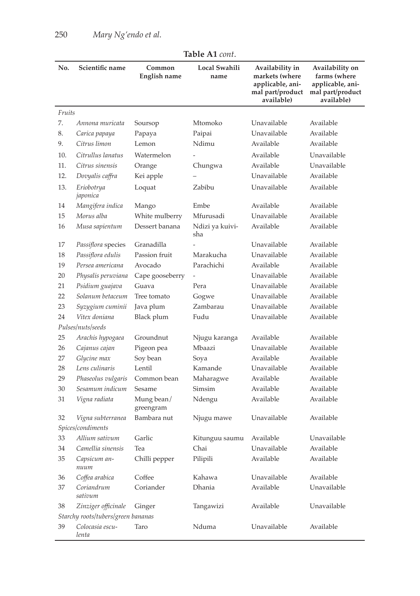|        |                                    |                         | TAVIT MI LVIII.        |                                                                                         |                                                                                       |
|--------|------------------------------------|-------------------------|------------------------|-----------------------------------------------------------------------------------------|---------------------------------------------------------------------------------------|
| No.    | Scientific name                    | Common<br>English name  | Local Swahili<br>name  | Availability in<br>markets (where<br>applicable, ani-<br>mal part/product<br>available) | Availability on<br>farms (where<br>applicable, ani-<br>mal part/product<br>available) |
| Fruits |                                    |                         |                        |                                                                                         |                                                                                       |
| 7.     | Annona muricata                    | Soursop                 | Mtomoko                | Unavailable                                                                             | Available                                                                             |
| 8.     | Carica papaya                      | Papaya                  | Paipai                 | Unavailable                                                                             | Available                                                                             |
| 9.     | Citrus limon                       | Lemon                   | Ndimu                  | Available                                                                               | Available                                                                             |
| 10.    | Citrullus lanatus                  | Watermelon              |                        | Available                                                                               | Unavailable                                                                           |
| 11.    | Citrus sinensis                    | Orange                  | Chungwa                | Available                                                                               | Unavailable                                                                           |
| 12.    | Dovyalis caffra                    | Kei apple               |                        | Unavailable                                                                             | Available                                                                             |
| 13.    | Eriobotrya<br>japonica             | Loquat                  | Zabibu                 | Unavailable                                                                             | Available                                                                             |
| 14     | Mangifera indica                   | Mango                   | Embe                   | Available                                                                               | Available                                                                             |
| 15     | Morus alba                         | White mulberry          | Mfurusadi              | Unavailable                                                                             | Available                                                                             |
| 16     | Musa sapientum                     | Dessert banana          | Ndizi ya kuivi-<br>sha | Available                                                                               | Available                                                                             |
| 17     | Passiflora species                 | Granadilla              |                        | Unavailable                                                                             | Available                                                                             |
| 18     | Passiflora edulis                  | Passion fruit           | Marakucha              | Unavailable                                                                             | Available                                                                             |
| 19     | Persea americana                   | Avocado                 | Parachichi             | Available                                                                               | Available                                                                             |
| 20     | Physalis peruviana                 | Cape gooseberry         | $\overline{a}$         | Unavailable                                                                             | Available                                                                             |
| 21     | Psidium guajava                    | Guava                   | Pera                   | Unavailable                                                                             | Available                                                                             |
| 22     | Solanum betaceum                   | Tree tomato             | Gogwe                  | Unavailable                                                                             | Available                                                                             |
| 23     | Syzygium cuminii                   | Java plum               | Zambarau               | Unavailable                                                                             | Available                                                                             |
| 24     | Vitex doniana                      | Black plum              | Fudu                   | Unavailable                                                                             | Available                                                                             |
|        | Pulses/nuts/seeds                  |                         |                        |                                                                                         |                                                                                       |
| 25     | Arachis hypogaea                   | Groundnut               | Njugu karanga          | Available                                                                               | Available                                                                             |
| 26     | Cajanus cajan                      | Pigeon pea              | Mbaazi                 | Unavailable                                                                             | Available                                                                             |
| 27     | Glycine max                        | Soy bean                | Soya                   | Available                                                                               | Available                                                                             |
| 28     | Lens culinaris                     | Lentil                  | Kamande                | Unavailable                                                                             | Available                                                                             |
| 29     | Phaseolus vulgaris                 | Common bean             | Maharagwe              | Available                                                                               | Available                                                                             |
| 30     | Sesamum indicum                    | Sesame                  | Simsim                 | Available                                                                               | Available                                                                             |
| 31     | Vigna radiata                      | Mung bean/<br>greengram | Ndengu                 | Available                                                                               | Available                                                                             |
| 32     | Vigna subterranea                  | Bambara nut             | Njugu mawe             | Unavailable                                                                             | Available                                                                             |
|        | Spices/condiments                  |                         |                        |                                                                                         |                                                                                       |
| 33     | Allium sativum                     | Garlic                  | Kitunguu saumu         | Available                                                                               | Unavailable                                                                           |
| 34     | Camellia sinensis                  | Tea                     | Chai                   | Unavailable                                                                             | Available                                                                             |
| 35     | Capsicum an-<br>nuum               | Chilli pepper           | Pilipili               | Available                                                                               | Available                                                                             |
| 36     | Coffea arabica                     | Coffee                  | Kahawa                 | Unavailable                                                                             | Available                                                                             |
| 37     | Coriandrum<br>sativum              | Coriander               | Dhania                 | Available                                                                               | Unavailable                                                                           |
| 38     | Zinziger officinale                | Ginger                  | Tangawizi              | Available                                                                               | Unavailable                                                                           |
|        | Starchy roots/tubers/green bananas |                         |                        |                                                                                         |                                                                                       |
| 39     | Colocasia escu-<br>lenta           | Taro                    | Nduma                  | Unavailable                                                                             | Available                                                                             |

**Table A1** *cont*.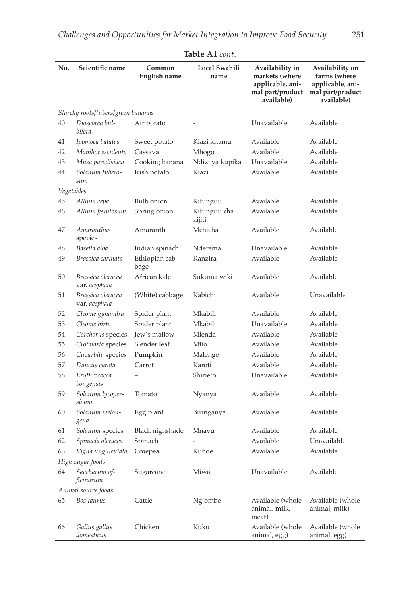| No. | Scientific name                    | Common<br>English name | Local Swahili<br>name  | Availability in<br>markets (where<br>applicable, ani-<br>mal part/product<br>available) | Availability on<br>farms (where<br>applicable, ani-<br>mal part/product<br>available) |
|-----|------------------------------------|------------------------|------------------------|-----------------------------------------------------------------------------------------|---------------------------------------------------------------------------------------|
|     | Starchy roots/tubers/green bananas |                        |                        |                                                                                         |                                                                                       |
| 40  | Dioscorea bul-<br>bifera           | Air potato             |                        | Unavailable                                                                             | Available                                                                             |
| 41  | Ipomoea batatas                    | Sweet potato           | Kiazi kitamu           | Available                                                                               | Available                                                                             |
| 42  | Manihot esculenta                  | Cassava                | Mhogo                  | Available                                                                               | Available                                                                             |
| 43  | Musa paradisiaca                   | Cooking banana         | Ndizi ya kupika        | Unavailable                                                                             | Available                                                                             |
| 44  | Solanum tubero-<br>sum             | Irish potato           | Kiazi                  | Available                                                                               | Available                                                                             |
|     | Vegetables                         |                        |                        |                                                                                         |                                                                                       |
| 45. | Allium cepa                        | <b>Bulb</b> onion      | Kitunguu               | Available                                                                               | Available                                                                             |
| 46  | Allium fistulosum                  | Spring onion           | Kitunguu cha<br>kijiti | Available                                                                               | Available                                                                             |
| 47  | Amaranthus<br>species              | Amaranth               | Mchicha                | Available                                                                               | Available                                                                             |
| 48  | Basella alba                       | Indian spinach         | Nderema                | Unavailable                                                                             | Available                                                                             |
| 49  | Brassica carinata                  | Ethiopian cab-<br>bage | Kanzira                | Available                                                                               | Available                                                                             |
| 50  | Brassica oleracea<br>var. acephala | African kale           | Sukuma wiki            | Available                                                                               | Available                                                                             |
| 51  | Brassica oleracea<br>var. acephala | (White) cabbage        | Kabichi                | Available                                                                               | Unavailable                                                                           |
| 52  | Cleome gynandra                    | Spider plant           | Mkabili                | Available                                                                               | Available                                                                             |
| 53  | Cleome hirta                       | Spider plant           | Mkabili                | Unavailable                                                                             | Available                                                                             |
| 54  | Corchorus species                  | Jew's mallow           | Mlenda                 | Available                                                                               | Available                                                                             |
| 55  | Crotalaria species                 | Slender leaf           | Mito                   | Available                                                                               | Available                                                                             |
| 56  | Cucurbita species                  | Pumpkin                | Malenge                | Available                                                                               | Available                                                                             |
| 57  | Daucus carota                      | Carrot                 | Karoti                 | Available                                                                               | Available                                                                             |
| 58  | Erythrococca<br>bongensis          |                        | Shirieto               | Unavailable                                                                             | Available                                                                             |
| 59  | Solanum lycoper-<br>sicum          | Tomato                 | Nyanya                 | Available                                                                               | Available                                                                             |
| 60  | Solanum melon-<br>gena             | Egg plant              | Biringanya             | Available                                                                               | Available                                                                             |
| 61  | Solanum species                    | Black nighshade        | Mnavu                  | Available                                                                               | Available                                                                             |
| 62  | Spinacia oleracea                  | Spinach                |                        | Available                                                                               | Unavailable                                                                           |
| 63  | Vigna unguiculata                  | Cowpea                 | Kunde                  | Available                                                                               | Available                                                                             |
|     | High-sugar foods                   |                        |                        |                                                                                         |                                                                                       |
| 64  | Saccharum of-<br>ficinarum         | Sugarcane              | Miwa                   | Unavailable                                                                             | Available                                                                             |
|     | Animal source foods                |                        |                        |                                                                                         |                                                                                       |
| 65  | Bos taurus                         | Cattle                 | Ng'ombe                | Available (whole<br>animal, milk,<br>meat)                                              | Available (whole<br>animal, milk)                                                     |
| 66  | Gallus gallus<br>domesticus        | Chicken                | Kuku                   | Available (whole<br>animal, egg)                                                        | Available (whole<br>animal, egg)                                                      |

**Table A1** *cont*.